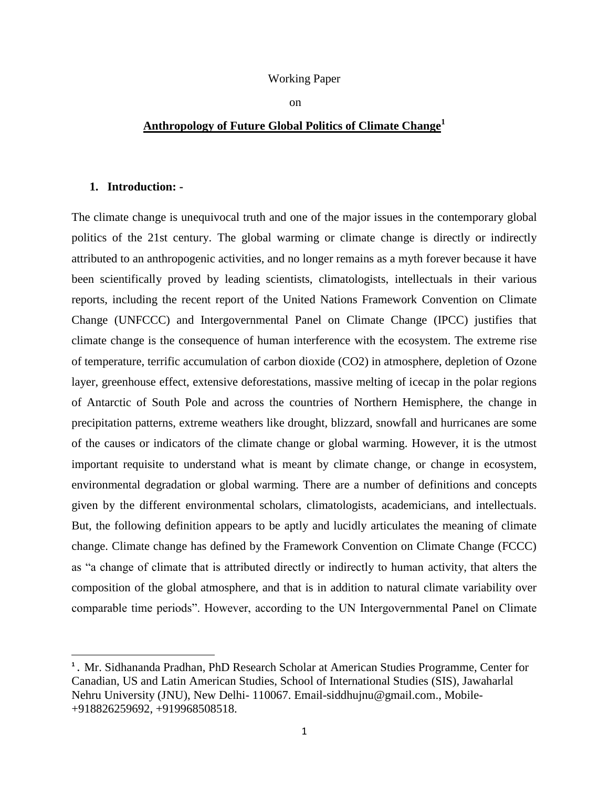#### Working Paper

on

# **Anthropology of Future Global Politics of Climate Change<sup>1</sup>**

#### **1. Introduction: -**

 $\overline{\phantom{a}}$ 

The climate change is unequivocal truth and one of the major issues in the contemporary global politics of the 21st century. The global warming or climate change is directly or indirectly attributed to an anthropogenic activities, and no longer remains as a myth forever because it have been scientifically proved by leading scientists, climatologists, intellectuals in their various reports, including the recent report of the United Nations Framework Convention on Climate Change (UNFCCC) and Intergovernmental Panel on Climate Change (IPCC) justifies that climate change is the consequence of human interference with the ecosystem. The extreme rise of temperature, terrific accumulation of carbon dioxide (CO2) in atmosphere, depletion of Ozone layer, greenhouse effect, extensive deforestations, massive melting of icecap in the polar regions of Antarctic of South Pole and across the countries of Northern Hemisphere, the change in precipitation patterns, extreme weathers like drought, blizzard, snowfall and hurricanes are some of the causes or indicators of the climate change or global warming. However, it is the utmost important requisite to understand what is meant by climate change, or change in ecosystem, environmental degradation or global warming. There are a number of definitions and concepts given by the different environmental scholars, climatologists, academicians, and intellectuals. But, the following definition appears to be aptly and lucidly articulates the meaning of climate change. Climate change has defined by the Framework Convention on Climate Change (FCCC) as "a change of climate that is attributed directly or indirectly to human activity, that alters the composition of the global atmosphere, and that is in addition to natural climate variability over comparable time periods". However, according to the UN Intergovernmental Panel on Climate

**<sup>1</sup> .** Mr. Sidhananda Pradhan, PhD Research Scholar at American Studies Programme, Center for Canadian, US and Latin American Studies, School of International Studies (SIS), Jawaharlal Nehru University (JNU), New Delhi- 110067. Email-siddhujnu@gmail.com., Mobile- +918826259692, +919968508518.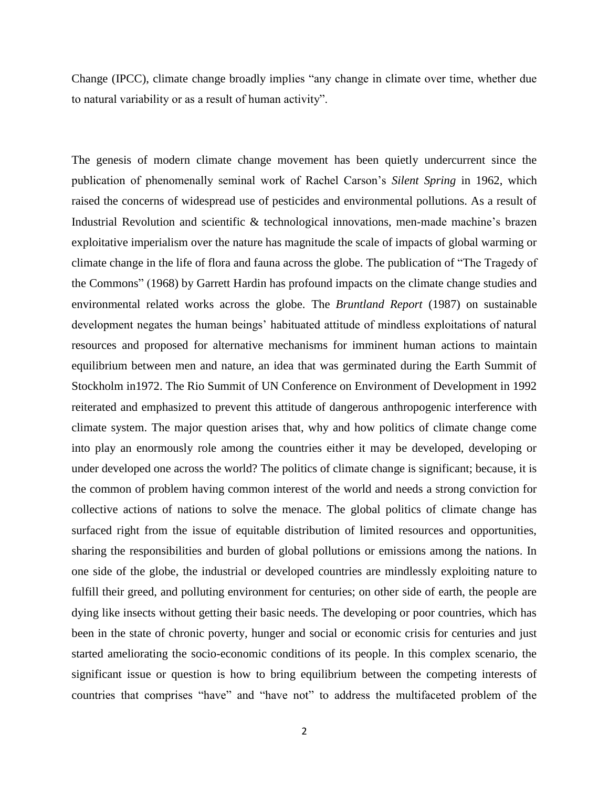Change (IPCC), climate change broadly implies "any change in climate over time, whether due to natural variability or as a result of human activity".

The genesis of modern climate change movement has been quietly undercurrent since the publication of phenomenally seminal work of Rachel Carson"s *Silent Spring* in 1962, which raised the concerns of widespread use of pesticides and environmental pollutions. As a result of Industrial Revolution and scientific & technological innovations, men-made machine's brazen exploitative imperialism over the nature has magnitude the scale of impacts of global warming or climate change in the life of flora and fauna across the globe. The publication of "The Tragedy of the Commons" (1968) by Garrett Hardin has profound impacts on the climate change studies and environmental related works across the globe. The *Bruntland Report* (1987) on sustainable development negates the human beings" habituated attitude of mindless exploitations of natural resources and proposed for alternative mechanisms for imminent human actions to maintain equilibrium between men and nature, an idea that was germinated during the Earth Summit of Stockholm in1972. The Rio Summit of UN Conference on Environment of Development in 1992 reiterated and emphasized to prevent this attitude of dangerous anthropogenic interference with climate system. The major question arises that, why and how politics of climate change come into play an enormously role among the countries either it may be developed, developing or under developed one across the world? The politics of climate change is significant; because, it is the common of problem having common interest of the world and needs a strong conviction for collective actions of nations to solve the menace. The global politics of climate change has surfaced right from the issue of equitable distribution of limited resources and opportunities, sharing the responsibilities and burden of global pollutions or emissions among the nations. In one side of the globe, the industrial or developed countries are mindlessly exploiting nature to fulfill their greed, and polluting environment for centuries; on other side of earth, the people are dying like insects without getting their basic needs. The developing or poor countries, which has been in the state of chronic poverty, hunger and social or economic crisis for centuries and just started ameliorating the socio-economic conditions of its people. In this complex scenario, the significant issue or question is how to bring equilibrium between the competing interests of countries that comprises "have" and "have not" to address the multifaceted problem of the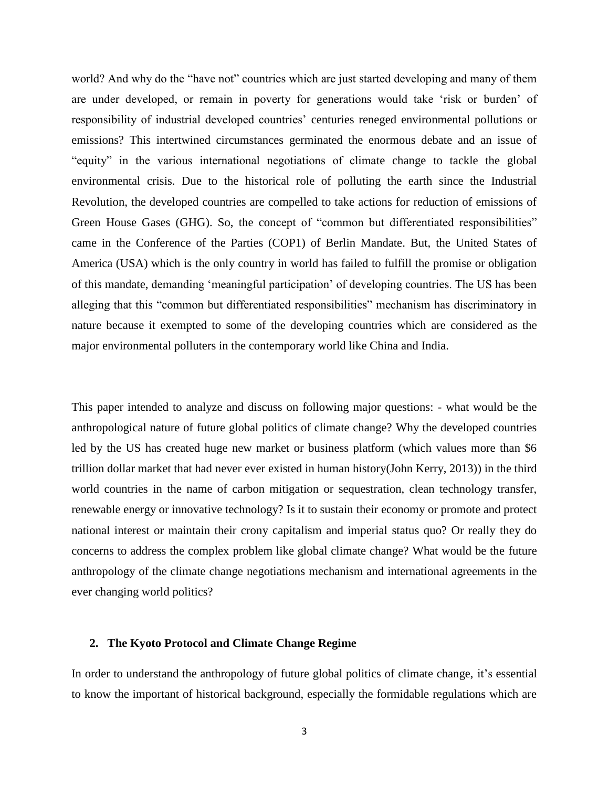world? And why do the "have not" countries which are just started developing and many of them are under developed, or remain in poverty for generations would take "risk or burden" of responsibility of industrial developed countries' centuries reneged environmental pollutions or emissions? This intertwined circumstances germinated the enormous debate and an issue of "equity" in the various international negotiations of climate change to tackle the global environmental crisis. Due to the historical role of polluting the earth since the Industrial Revolution, the developed countries are compelled to take actions for reduction of emissions of Green House Gases (GHG). So, the concept of "common but differentiated responsibilities" came in the Conference of the Parties (COP1) of Berlin Mandate. But, the United States of America (USA) which is the only country in world has failed to fulfill the promise or obligation of this mandate, demanding "meaningful participation" of developing countries. The US has been alleging that this "common but differentiated responsibilities" mechanism has discriminatory in nature because it exempted to some of the developing countries which are considered as the major environmental polluters in the contemporary world like China and India.

This paper intended to analyze and discuss on following major questions: - what would be the anthropological nature of future global politics of climate change? Why the developed countries led by the US has created huge new market or business platform (which values more than \$6 trillion dollar market that had never ever existed in human history(John Kerry, 2013)) in the third world countries in the name of carbon mitigation or sequestration, clean technology transfer, renewable energy or innovative technology? Is it to sustain their economy or promote and protect national interest or maintain their crony capitalism and imperial status quo? Or really they do concerns to address the complex problem like global climate change? What would be the future anthropology of the climate change negotiations mechanism and international agreements in the ever changing world politics?

## **2. The Kyoto Protocol and Climate Change Regime**

In order to understand the anthropology of future global politics of climate change, it"s essential to know the important of historical background, especially the formidable regulations which are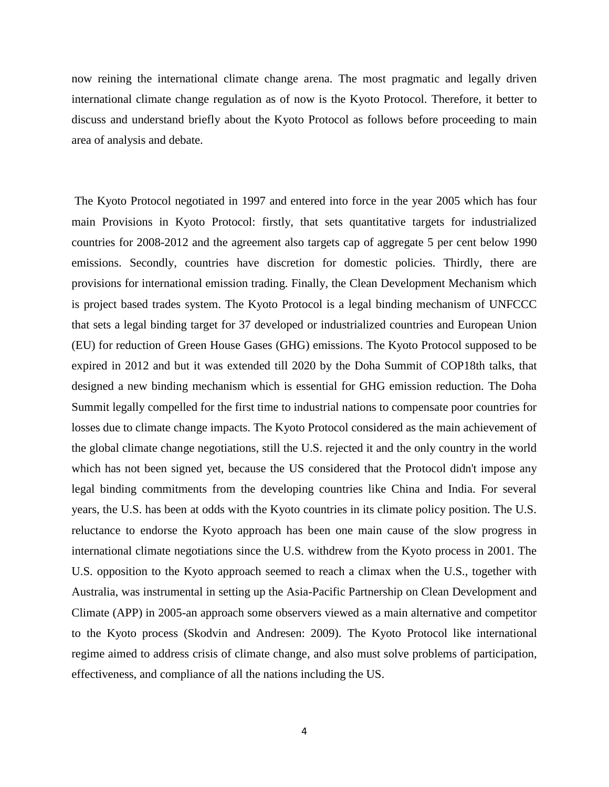now reining the international climate change arena. The most pragmatic and legally driven international climate change regulation as of now is the Kyoto Protocol. Therefore, it better to discuss and understand briefly about the Kyoto Protocol as follows before proceeding to main area of analysis and debate.

The Kyoto Protocol negotiated in 1997 and entered into force in the year 2005 which has four main Provisions in Kyoto Protocol: firstly, that sets quantitative targets for industrialized countries for 2008-2012 and the agreement also targets cap of aggregate 5 per cent below 1990 emissions. Secondly, countries have discretion for domestic policies. Thirdly, there are provisions for international emission trading. Finally, the Clean Development Mechanism which is project based trades system. The Kyoto Protocol is a legal binding mechanism of UNFCCC that sets a legal binding target for 37 developed or industrialized countries and European Union (EU) for reduction of Green House Gases (GHG) emissions. The Kyoto Protocol supposed to be expired in 2012 and but it was extended till 2020 by the Doha Summit of COP18th talks, that designed a new binding mechanism which is essential for GHG emission reduction. The Doha Summit legally compelled for the first time to industrial nations to compensate poor countries for losses due to climate change impacts. The Kyoto Protocol considered as the main achievement of the global climate change negotiations, still the U.S. rejected it and the only country in the world which has not been signed yet, because the US considered that the Protocol didn't impose any legal binding commitments from the developing countries like China and India. For several years, the U.S. has been at odds with the Kyoto countries in its climate policy position. The U.S. reluctance to endorse the Kyoto approach has been one main cause of the slow progress in international climate negotiations since the U.S. withdrew from the Kyoto process in 2001. The U.S. opposition to the Kyoto approach seemed to reach a climax when the U.S., together with Australia, was instrumental in setting up the Asia-Pacific Partnership on Clean Development and Climate (APP) in 2005-an approach some observers viewed as a main alternative and competitor to the Kyoto process (Skodvin and Andresen: 2009). The Kyoto Protocol like international regime aimed to address crisis of climate change, and also must solve problems of participation, effectiveness, and compliance of all the nations including the US.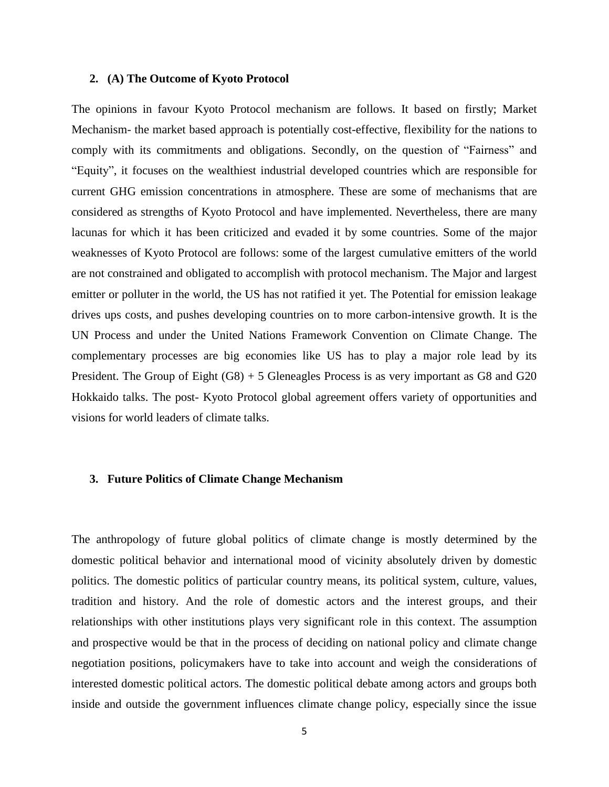#### **2. (A) The Outcome of Kyoto Protocol**

The opinions in favour Kyoto Protocol mechanism are follows. It based on firstly; Market Mechanism- the market based approach is potentially cost-effective, flexibility for the nations to comply with its commitments and obligations. Secondly, on the question of "Fairness" and "Equity", it focuses on the wealthiest industrial developed countries which are responsible for current GHG emission concentrations in atmosphere. These are some of mechanisms that are considered as strengths of Kyoto Protocol and have implemented. Nevertheless, there are many lacunas for which it has been criticized and evaded it by some countries. Some of the major weaknesses of Kyoto Protocol are follows: some of the largest cumulative emitters of the world are not constrained and obligated to accomplish with protocol mechanism. The Major and largest emitter or polluter in the world, the US has not ratified it yet. The Potential for emission leakage drives ups costs, and pushes developing countries on to more carbon-intensive growth. It is the UN Process and under the United Nations Framework Convention on Climate Change. The complementary processes are big economies like US has to play a major role lead by its President. The Group of Eight (G8) + 5 Gleneagles Process is as very important as G8 and G20 Hokkaido talks. The post- Kyoto Protocol global agreement offers variety of opportunities and visions for world leaders of climate talks.

## **3. Future Politics of Climate Change Mechanism**

The anthropology of future global politics of climate change is mostly determined by the domestic political behavior and international mood of vicinity absolutely driven by domestic politics. The domestic politics of particular country means, its political system, culture, values, tradition and history. And the role of domestic actors and the interest groups, and their relationships with other institutions plays very significant role in this context. The assumption and prospective would be that in the process of deciding on national policy and climate change negotiation positions, policymakers have to take into account and weigh the considerations of interested domestic political actors. The domestic political debate among actors and groups both inside and outside the government influences climate change policy, especially since the issue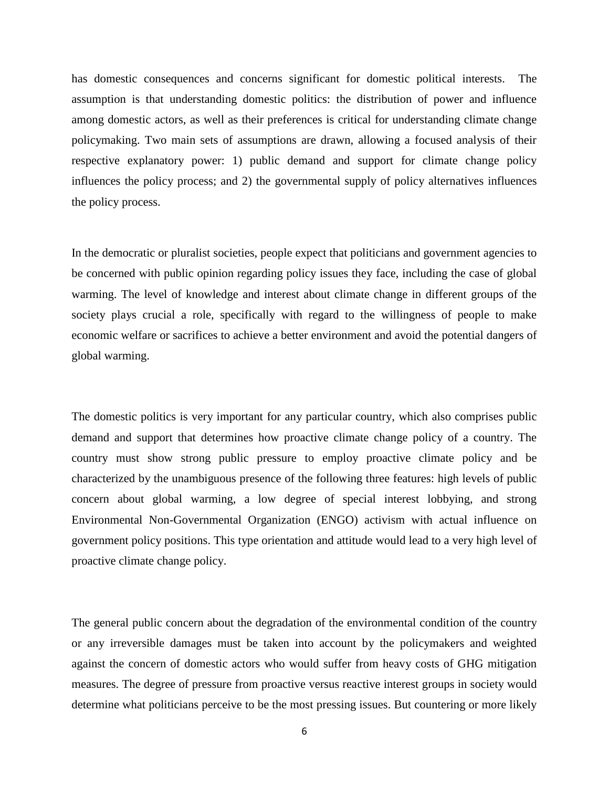has domestic consequences and concerns significant for domestic political interests. The assumption is that understanding domestic politics: the distribution of power and influence among domestic actors, as well as their preferences is critical for understanding climate change policymaking. Two main sets of assumptions are drawn, allowing a focused analysis of their respective explanatory power: 1) public demand and support for climate change policy influences the policy process; and 2) the governmental supply of policy alternatives influences the policy process.

In the democratic or pluralist societies, people expect that politicians and government agencies to be concerned with public opinion regarding policy issues they face, including the case of global warming. The level of knowledge and interest about climate change in different groups of the society plays crucial a role, specifically with regard to the willingness of people to make economic welfare or sacrifices to achieve a better environment and avoid the potential dangers of global warming.

The domestic politics is very important for any particular country, which also comprises public demand and support that determines how proactive climate change policy of a country. The country must show strong public pressure to employ proactive climate policy and be characterized by the unambiguous presence of the following three features: high levels of public concern about global warming, a low degree of special interest lobbying, and strong Environmental Non-Governmental Organization (ENGO) activism with actual influence on government policy positions. This type orientation and attitude would lead to a very high level of proactive climate change policy.

The general public concern about the degradation of the environmental condition of the country or any irreversible damages must be taken into account by the policymakers and weighted against the concern of domestic actors who would suffer from heavy costs of GHG mitigation measures. The degree of pressure from proactive versus reactive interest groups in society would determine what politicians perceive to be the most pressing issues. But countering or more likely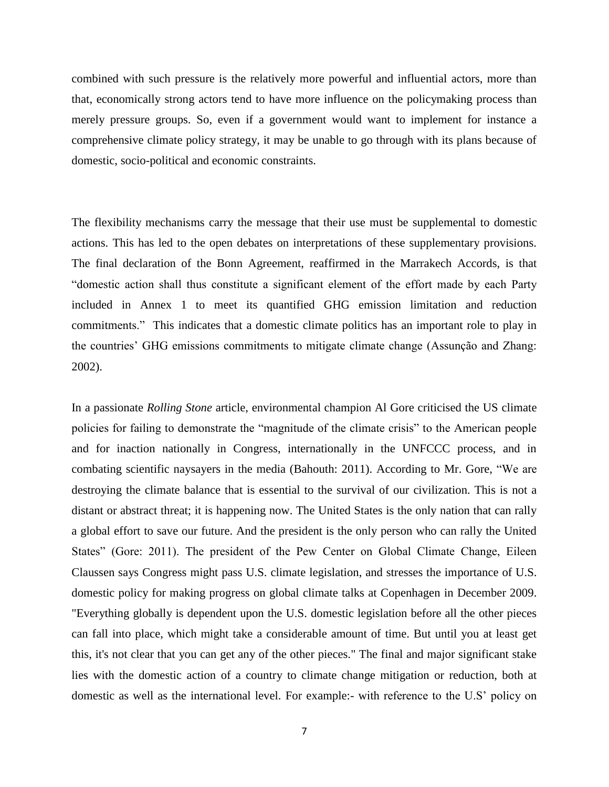combined with such pressure is the relatively more powerful and influential actors, more than that, economically strong actors tend to have more influence on the policymaking process than merely pressure groups. So, even if a government would want to implement for instance a comprehensive climate policy strategy, it may be unable to go through with its plans because of domestic, socio-political and economic constraints.

The flexibility mechanisms carry the message that their use must be supplemental to domestic actions. This has led to the open debates on interpretations of these supplementary provisions. The final declaration of the Bonn Agreement, reaffirmed in the Marrakech Accords, is that "domestic action shall thus constitute a significant element of the effort made by each Party included in Annex 1 to meet its quantified GHG emission limitation and reduction commitments." This indicates that a domestic climate politics has an important role to play in the countries" GHG emissions commitments to mitigate climate change (Assunção and Zhang: 2002).

In a passionate *Rolling Stone* article, environmental champion Al Gore criticised the US climate policies for failing to demonstrate the "magnitude of the climate crisis" to the American people and for inaction nationally in Congress, internationally in the UNFCCC process, and in combating scientific naysayers in the media (Bahouth: 2011). According to Mr. Gore, "We are destroying the climate balance that is essential to the survival of our civilization. This is not a distant or abstract threat; it is happening now. The United States is the only nation that can rally a global effort to save our future. And the president is the only person who can rally the United States" (Gore: 2011). The president of the Pew Center on Global Climate Change, Eileen Claussen says Congress might pass U.S. climate legislation, and stresses the importance of U.S. domestic policy for making progress on global climate talks at Copenhagen in December 2009. "Everything globally is dependent upon the U.S. domestic legislation before all the other pieces can fall into place, which might take a considerable amount of time. But until you at least get this, it's not clear that you can get any of the other pieces." The final and major significant stake lies with the domestic action of a country to climate change mitigation or reduction, both at domestic as well as the international level. For example:- with reference to the U.S" policy on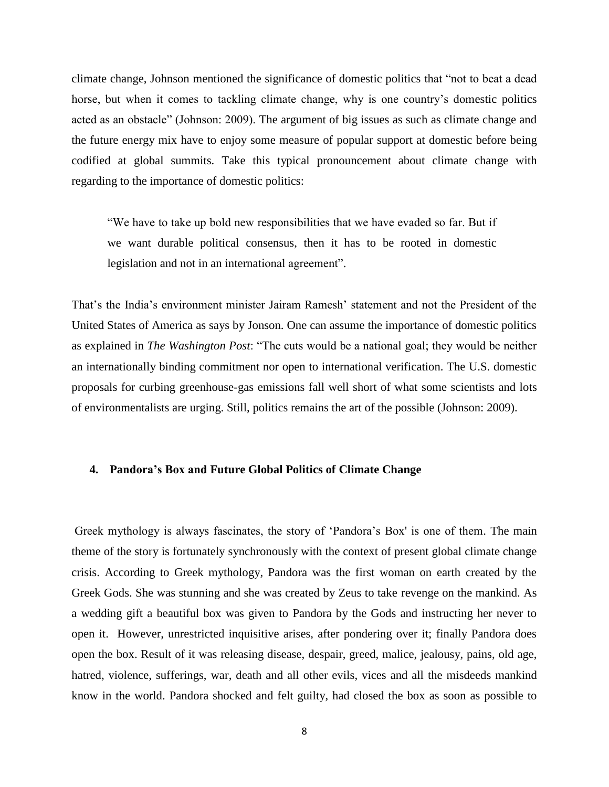climate change, Johnson mentioned the significance of domestic politics that "not to beat a dead horse, but when it comes to tackling climate change, why is one country's domestic politics acted as an obstacle" (Johnson: 2009). The argument of big issues as such as climate change and the future energy mix have to enjoy some measure of popular support at domestic before being codified at global summits. Take this typical pronouncement about climate change with regarding to the importance of domestic politics:

"We have to take up bold new responsibilities that we have evaded so far. But if we want durable political consensus, then it has to be rooted in domestic legislation and not in an international agreement".

That's the India's environment minister Jairam Ramesh' statement and not the President of the United States of America as says by Jonson. One can assume the importance of domestic politics as explained in *The Washington Post*: "The cuts would be a national goal; they would be neither an internationally binding commitment nor open to international verification. The U.S. domestic proposals for curbing greenhouse-gas emissions fall well short of what some scientists and lots of environmentalists are urging. Still, politics remains the art of the possible (Johnson: 2009).

## **4. Pandora's Box and Future Global Politics of Climate Change**

Greek mythology is always fascinates, the story of "Pandora"s Box' is one of them. The main theme of the story is fortunately synchronously with the context of present global climate change crisis. According to Greek mythology, Pandora was the first woman on earth created by the Greek Gods. She was stunning and she was created by Zeus to take revenge on the mankind. As a wedding gift a beautiful box was given to Pandora by the Gods and instructing her never to open it. However, unrestricted inquisitive arises, after pondering over it; finally Pandora does open the box. Result of it was releasing disease, despair, greed, malice, jealousy, pains, old age, hatred, violence, sufferings, war, death and all other evils, vices and all the misdeeds mankind know in the world. Pandora shocked and felt guilty, had closed the box as soon as possible to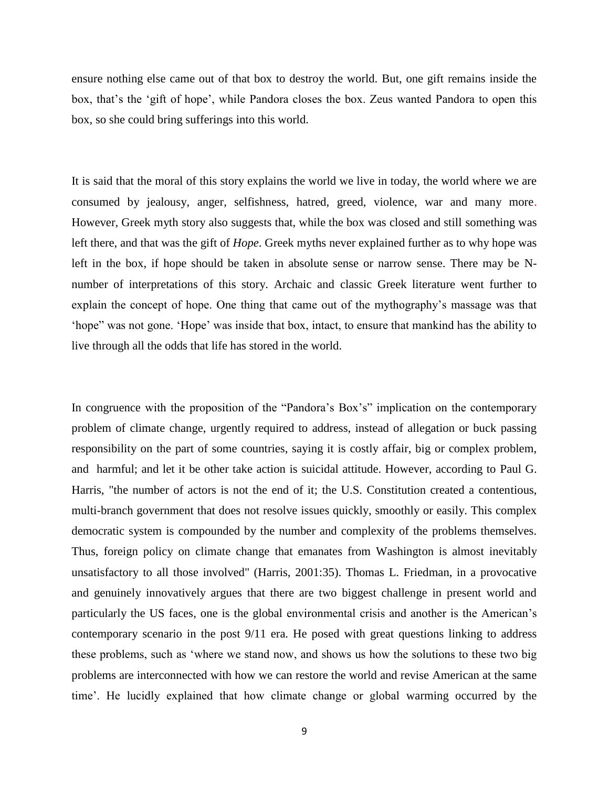ensure nothing else came out of that box to destroy the world. But, one gift remains inside the box, that's the 'gift of hope', while Pandora closes the box. Zeus wanted Pandora to open this box, so she could bring sufferings into this world.

It is said that the moral of this story explains the world we live in today, the world where we are consumed by jealousy, anger, selfishness, hatred, greed, violence, war and many more. However, Greek myth story also suggests that, while the box was closed and still something was left there, and that was the gift of *Hope*. Greek myths never explained further as to why hope was left in the box, if hope should be taken in absolute sense or narrow sense. There may be Nnumber of interpretations of this story. Archaic and classic Greek literature went further to explain the concept of hope. One thing that came out of the mythography"s massage was that "hope" was not gone. "Hope" was inside that box, intact, to ensure that mankind has the ability to live through all the odds that life has stored in the world.

In congruence with the proposition of the "Pandora's Box's" implication on the contemporary problem of climate change, urgently required to address, instead of allegation or buck passing responsibility on the part of some countries, saying it is costly affair, big or complex problem, and harmful; and let it be other take action is suicidal attitude. However, according to Paul G. Harris, "the number of actors is not the end of it; the U.S. Constitution created a contentious, multi-branch government that does not resolve issues quickly, smoothly or easily. This complex democratic system is compounded by the number and complexity of the problems themselves. Thus, foreign policy on climate change that emanates from Washington is almost inevitably unsatisfactory to all those involved" (Harris, 2001:35). Thomas L. Friedman, in a provocative and genuinely innovatively argues that there are two biggest challenge in present world and particularly the US faces, one is the global environmental crisis and another is the American"s contemporary scenario in the post 9/11 era. He posed with great questions linking to address these problems, such as "where we stand now, and shows us how the solutions to these two big problems are interconnected with how we can restore the world and revise American at the same time". He lucidly explained that how climate change or global warming occurred by the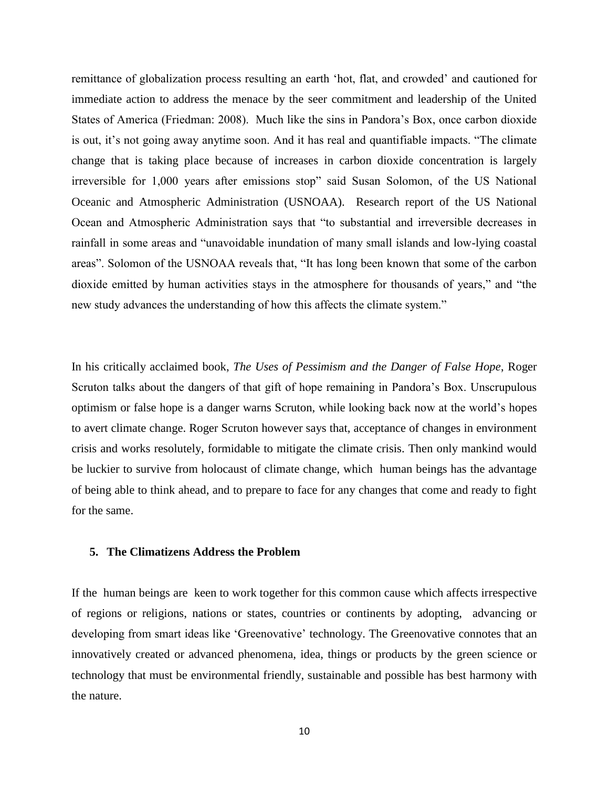remittance of globalization process resulting an earth "hot, flat, and crowded" and cautioned for immediate action to address the menace by the seer commitment and leadership of the United States of America (Friedman: 2008). Much like the sins in Pandora"s Box, once carbon dioxide is out, it's not going away anytime soon. And it has real and quantifiable impacts. "The climate change that is taking place because of increases in carbon dioxide concentration is largely irreversible for 1,000 years after emissions stop" said Susan Solomon, of the US National Oceanic and Atmospheric Administration (USNOAA). Research report of the US National Ocean and Atmospheric Administration says that "to substantial and irreversible decreases in rainfall in some areas and "unavoidable inundation of many small islands and low-lying coastal areas". Solomon of the USNOAA reveals that, "It has long been known that some of the carbon dioxide emitted by human activities stays in the atmosphere for thousands of years," and "the new study advances the understanding of how this affects the climate system."

In his critically acclaimed book, *The Uses of Pessimism and the Danger of False Hope*, Roger Scruton talks about the dangers of that gift of hope remaining in Pandora"s Box. Unscrupulous optimism or false hope is a danger warns Scruton, while looking back now at the world"s hopes to avert climate change. Roger Scruton however says that, acceptance of changes in environment crisis and works resolutely, formidable to mitigate the climate crisis. Then only mankind would be luckier to survive from holocaust of climate change, which human beings has the advantage of being able to think ahead, and to prepare to face for any changes that come and ready to fight for the same.

# **5. The Climatizens Address the Problem**

If the human beings are keen to work together for this common cause which affects irrespective of regions or religions, nations or states, countries or continents by adopting, advancing or developing from smart ideas like 'Greenovative' technology. The Greenovative connotes that an innovatively created or advanced phenomena, idea, things or products by the green science or technology that must be environmental friendly, sustainable and possible has best harmony with the nature.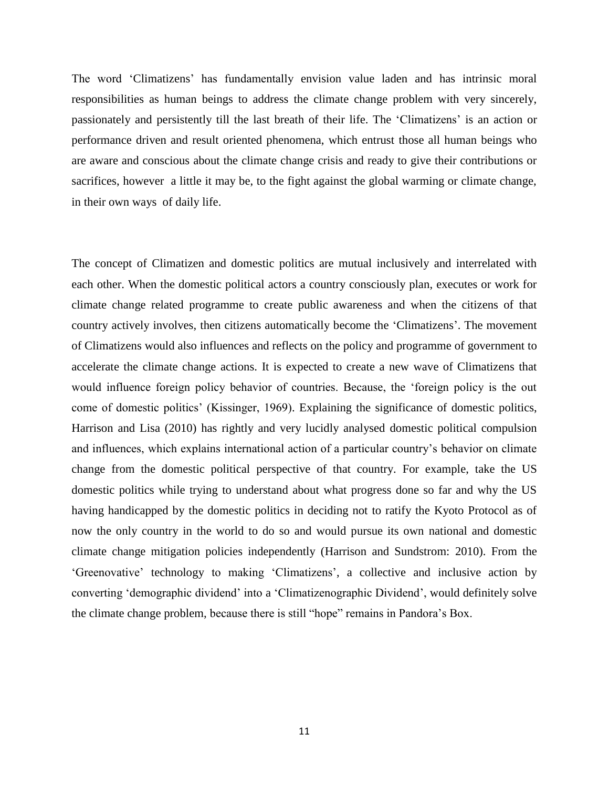The word "Climatizens" has fundamentally envision value laden and has intrinsic moral responsibilities as human beings to address the climate change problem with very sincerely, passionately and persistently till the last breath of their life. The "Climatizens" is an action or performance driven and result oriented phenomena, which entrust those all human beings who are aware and conscious about the climate change crisis and ready to give their contributions or sacrifices, however a little it may be, to the fight against the global warming or climate change, in their own ways of daily life.

The concept of Climatizen and domestic politics are mutual inclusively and interrelated with each other. When the domestic political actors a country consciously plan, executes or work for climate change related programme to create public awareness and when the citizens of that country actively involves, then citizens automatically become the "Climatizens". The movement of Climatizens would also influences and reflects on the policy and programme of government to accelerate the climate change actions. It is expected to create a new wave of Climatizens that would influence foreign policy behavior of countries. Because, the "foreign policy is the out come of domestic politics" (Kissinger, 1969). Explaining the significance of domestic politics, Harrison and Lisa (2010) has rightly and very lucidly analysed domestic political compulsion and influences, which explains international action of a particular country"s behavior on climate change from the domestic political perspective of that country. For example, take the US domestic politics while trying to understand about what progress done so far and why the US having handicapped by the domestic politics in deciding not to ratify the Kyoto Protocol as of now the only country in the world to do so and would pursue its own national and domestic climate change mitigation policies independently (Harrison and Sundstrom: 2010). From the "Greenovative" technology to making "Climatizens", a collective and inclusive action by converting "demographic dividend" into a "Climatizenographic Dividend", would definitely solve the climate change problem, because there is still "hope" remains in Pandora"s Box.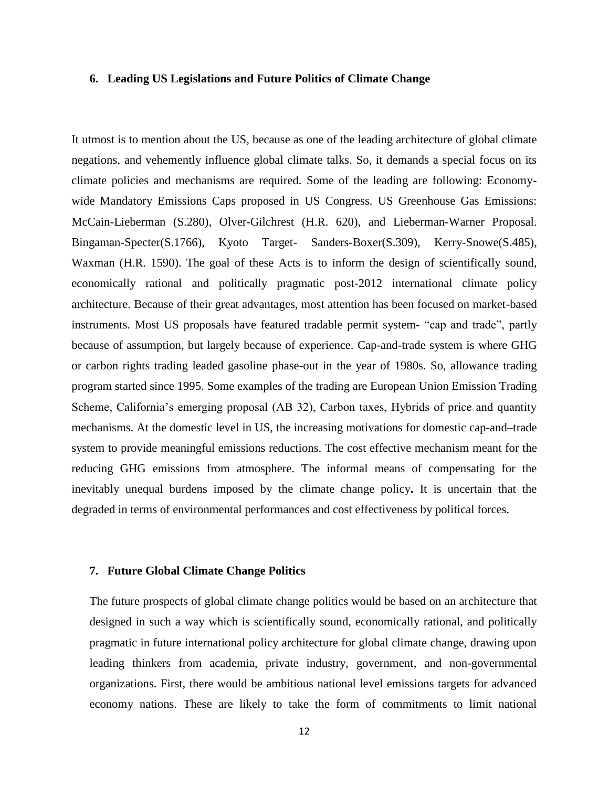## **6. Leading US Legislations and Future Politics of Climate Change**

It utmost is to mention about the US, because as one of the leading architecture of global climate negations, and vehemently influence global climate talks. So, it demands a special focus on its climate policies and mechanisms are required. Some of the leading are following: Economywide Mandatory Emissions Caps proposed in US Congress. US Greenhouse Gas Emissions: McCain-Lieberman (S.280), Olver-Gilchrest (H.R. 620), and Lieberman-Warner Proposal. Bingaman-Specter(S.1766), Kyoto Target- Sanders-Boxer(S.309), Kerry-Snowe(S.485), Waxman (H.R. 1590). The goal of these Acts is to inform the design of scientifically sound, economically rational and politically pragmatic post-2012 international climate policy architecture. Because of their great advantages, most attention has been focused on market-based instruments. Most US proposals have featured tradable permit system- "cap and trade", partly because of assumption, but largely because of experience. Cap-and-trade system is where GHG or carbon rights trading leaded gasoline phase-out in the year of 1980s. So, allowance trading program started since 1995. Some examples of the trading are European Union Emission Trading Scheme, California's emerging proposal (AB 32), Carbon taxes, Hybrids of price and quantity mechanisms. At the domestic level in US, the increasing motivations for domestic cap-and–trade system to provide meaningful emissions reductions. The cost effective mechanism meant for the reducing GHG emissions from atmosphere. The informal means of compensating for the inevitably unequal burdens imposed by the climate change policy**.** It is uncertain that the degraded in terms of environmental performances and cost effectiveness by political forces.

## **7. Future Global Climate Change Politics**

The future prospects of global climate change politics would be based on an architecture that designed in such a way which is scientifically sound, economically rational, and politically pragmatic in future international policy architecture for global climate change, drawing upon leading thinkers from academia, private industry, government, and non-governmental organizations. First, there would be ambitious national level emissions targets for advanced economy nations. These are likely to take the form of commitments to limit national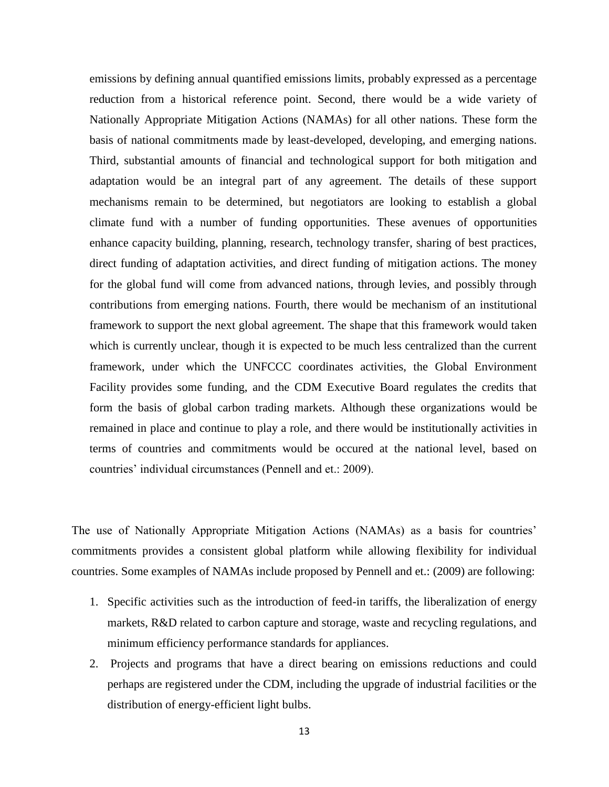emissions by defining annual quantified emissions limits, probably expressed as a percentage reduction from a historical reference point. Second, there would be a wide variety of Nationally Appropriate Mitigation Actions (NAMAs) for all other nations. These form the basis of national commitments made by least-developed, developing, and emerging nations. Third, substantial amounts of financial and technological support for both mitigation and adaptation would be an integral part of any agreement. The details of these support mechanisms remain to be determined, but negotiators are looking to establish a global climate fund with a number of funding opportunities. These avenues of opportunities enhance capacity building, planning, research, technology transfer, sharing of best practices, direct funding of adaptation activities, and direct funding of mitigation actions. The money for the global fund will come from advanced nations, through levies, and possibly through contributions from emerging nations. Fourth, there would be mechanism of an institutional framework to support the next global agreement. The shape that this framework would taken which is currently unclear, though it is expected to be much less centralized than the current framework, under which the UNFCCC coordinates activities, the Global Environment Facility provides some funding, and the CDM Executive Board regulates the credits that form the basis of global carbon trading markets. Although these organizations would be remained in place and continue to play a role, and there would be institutionally activities in terms of countries and commitments would be occured at the national level, based on countries' individual circumstances (Pennell and et.: 2009).

The use of Nationally Appropriate Mitigation Actions (NAMAs) as a basis for countries" commitments provides a consistent global platform while allowing flexibility for individual countries. Some examples of NAMAs include proposed by Pennell and et.: (2009) are following:

- 1. Specific activities such as the introduction of feed-in tariffs, the liberalization of energy markets, R&D related to carbon capture and storage, waste and recycling regulations, and minimum efficiency performance standards for appliances.
- 2. Projects and programs that have a direct bearing on emissions reductions and could perhaps are registered under the CDM, including the upgrade of industrial facilities or the distribution of energy-efficient light bulbs.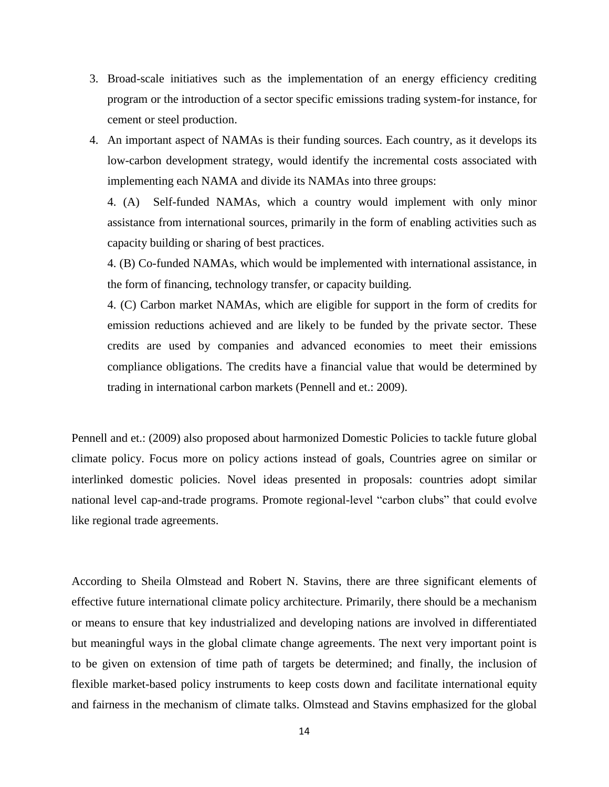- 3. Broad-scale initiatives such as the implementation of an energy efficiency crediting program or the introduction of a sector specific emissions trading system-for instance, for cement or steel production.
- 4. An important aspect of NAMAs is their funding sources. Each country, as it develops its low-carbon development strategy, would identify the incremental costs associated with implementing each NAMA and divide its NAMAs into three groups:

4. (A) Self-funded NAMAs, which a country would implement with only minor assistance from international sources, primarily in the form of enabling activities such as capacity building or sharing of best practices.

4. (B) Co-funded NAMAs, which would be implemented with international assistance, in the form of financing, technology transfer, or capacity building.

4. (C) Carbon market NAMAs, which are eligible for support in the form of credits for emission reductions achieved and are likely to be funded by the private sector. These credits are used by companies and advanced economies to meet their emissions compliance obligations. The credits have a financial value that would be determined by trading in international carbon markets (Pennell and et.: 2009).

Pennell and et.: (2009) also proposed about harmonized Domestic Policies to tackle future global climate policy. Focus more on policy actions instead of goals, Countries agree on similar or interlinked domestic policies. Novel ideas presented in proposals: countries adopt similar national level cap-and-trade programs. Promote regional-level "carbon clubs" that could evolve like regional trade agreements.

According to Sheila Olmstead and Robert N. Stavins, there are three significant elements of effective future international climate policy architecture. Primarily, there should be a mechanism or means to ensure that key industrialized and developing nations are involved in differentiated but meaningful ways in the global climate change agreements. The next very important point is to be given on extension of time path of targets be determined; and finally, the inclusion of flexible market-based policy instruments to keep costs down and facilitate international equity and fairness in the mechanism of climate talks. Olmstead and Stavins emphasized for the global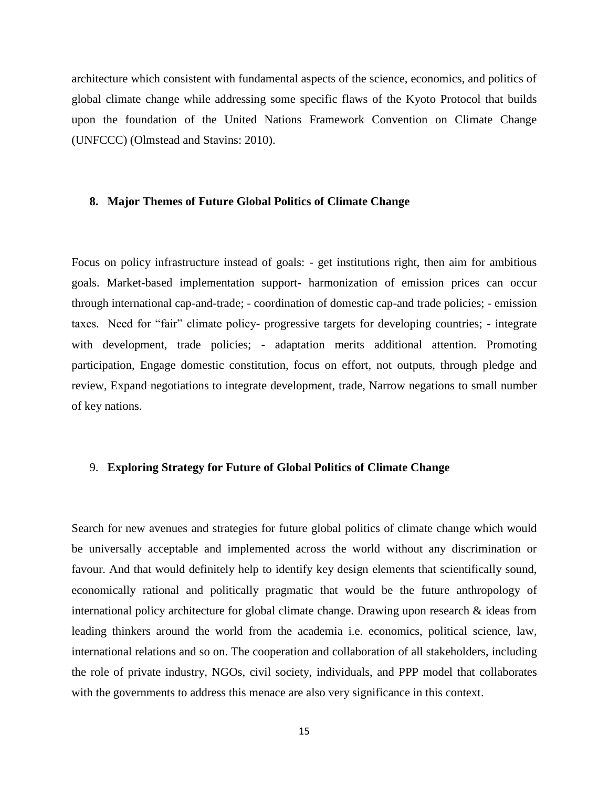architecture which consistent with fundamental aspects of the science, economics, and politics of global climate change while addressing some specific flaws of the Kyoto Protocol that builds upon the foundation of the United Nations Framework Convention on Climate Change (UNFCCC) (Olmstead and Stavins: 2010).

#### **8. Major Themes of Future Global Politics of Climate Change**

Focus on policy infrastructure instead of goals: - get institutions right, then aim for ambitious goals. Market-based implementation support- harmonization of emission prices can occur through international cap-and-trade; - coordination of domestic cap-and trade policies; - emission taxes. Need for "fair" climate policy- progressive targets for developing countries; - integrate with development, trade policies; - adaptation merits additional attention. Promoting participation, Engage domestic constitution, focus on effort, not outputs, through pledge and review, Expand negotiations to integrate development, trade, Narrow negations to small number of key nations.

## 9. **Exploring Strategy for Future of Global Politics of Climate Change**

Search for new avenues and strategies for future global politics of climate change which would be universally acceptable and implemented across the world without any discrimination or favour. And that would definitely help to identify key design elements that scientifically sound, economically rational and politically pragmatic that would be the future anthropology of international policy architecture for global climate change. Drawing upon research & ideas from leading thinkers around the world from the academia i.e. economics, political science, law, international relations and so on. The cooperation and collaboration of all stakeholders, including the role of private industry, NGOs, civil society, individuals, and PPP model that collaborates with the governments to address this menace are also very significance in this context.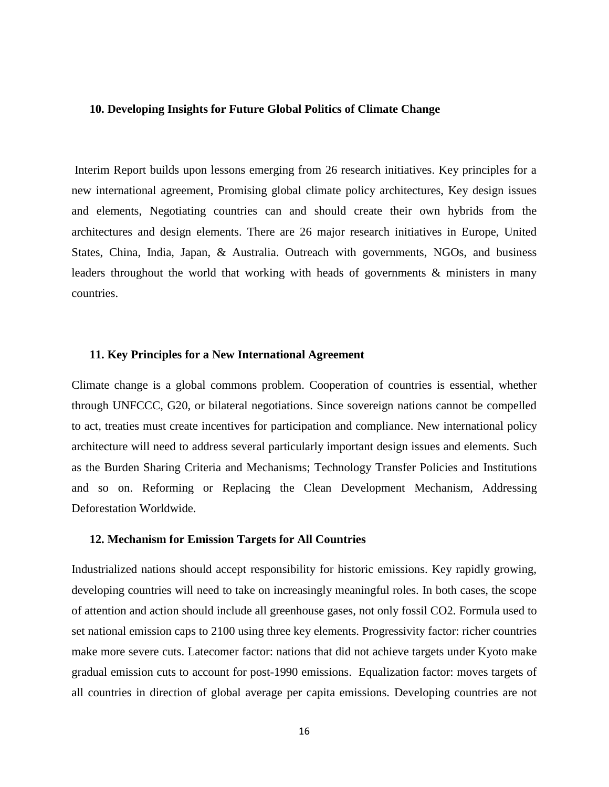## **10. Developing Insights for Future Global Politics of Climate Change**

Interim Report builds upon lessons emerging from 26 research initiatives. Key principles for a new international agreement, Promising global climate policy architectures, Key design issues and elements, Negotiating countries can and should create their own hybrids from the architectures and design elements. There are 26 major research initiatives in Europe, United States, China, India, Japan, & Australia. Outreach with governments, NGOs, and business leaders throughout the world that working with heads of governments & ministers in many countries.

## **11. Key Principles for a New International Agreement**

Climate change is a global commons problem. Cooperation of countries is essential, whether through UNFCCC, G20, or bilateral negotiations. Since sovereign nations cannot be compelled to act, treaties must create incentives for participation and compliance. New international policy architecture will need to address several particularly important design issues and elements. Such as the Burden Sharing Criteria and Mechanisms; Technology Transfer Policies and Institutions and so on. Reforming or Replacing the Clean Development Mechanism, Addressing Deforestation Worldwide.

#### **12. Mechanism for Emission Targets for All Countries**

Industrialized nations should accept responsibility for historic emissions. Key rapidly growing, developing countries will need to take on increasingly meaningful roles. In both cases, the scope of attention and action should include all greenhouse gases, not only fossil CO2. Formula used to set national emission caps to 2100 using three key elements. Progressivity factor: richer countries make more severe cuts. Latecomer factor: nations that did not achieve targets under Kyoto make gradual emission cuts to account for post-1990 emissions. Equalization factor: moves targets of all countries in direction of global average per capita emissions. Developing countries are not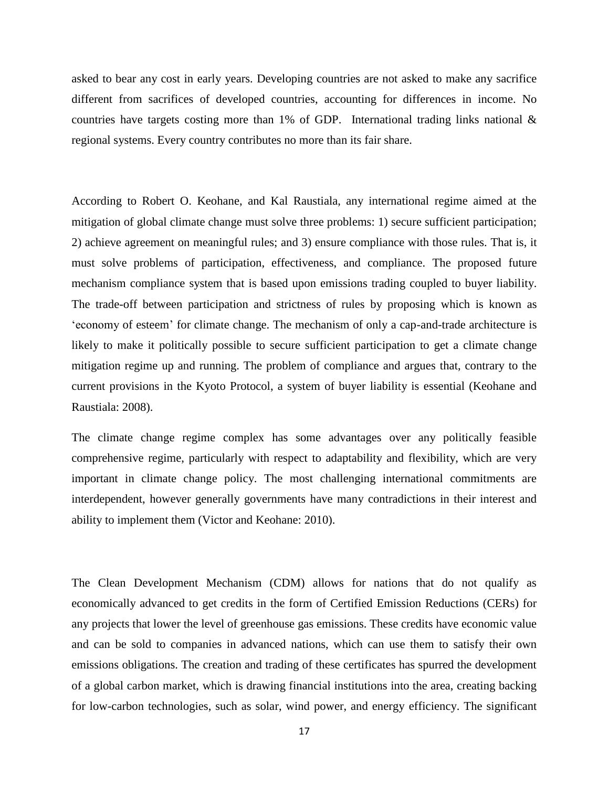asked to bear any cost in early years. Developing countries are not asked to make any sacrifice different from sacrifices of developed countries, accounting for differences in income. No countries have targets costing more than 1% of GDP. International trading links national  $\&$ regional systems. Every country contributes no more than its fair share.

According to Robert O. Keohane, and Kal Raustiala, any international regime aimed at the mitigation of global climate change must solve three problems: 1) secure sufficient participation; 2) achieve agreement on meaningful rules; and 3) ensure compliance with those rules. That is, it must solve problems of participation, effectiveness, and compliance. The proposed future mechanism compliance system that is based upon emissions trading coupled to buyer liability. The trade-off between participation and strictness of rules by proposing which is known as "economy of esteem" for climate change. The mechanism of only a cap-and-trade architecture is likely to make it politically possible to secure sufficient participation to get a climate change mitigation regime up and running. The problem of compliance and argues that, contrary to the current provisions in the Kyoto Protocol, a system of buyer liability is essential (Keohane and Raustiala: 2008).

The climate change regime complex has some advantages over any politically feasible comprehensive regime, particularly with respect to adaptability and flexibility, which are very important in climate change policy. The most challenging international commitments are interdependent, however generally governments have many contradictions in their interest and ability to implement them (Victor and Keohane: 2010).

The Clean Development Mechanism (CDM) allows for nations that do not qualify as economically advanced to get credits in the form of Certified Emission Reductions (CERs) for any projects that lower the level of greenhouse gas emissions. These credits have economic value and can be sold to companies in advanced nations, which can use them to satisfy their own emissions obligations. The creation and trading of these certificates has spurred the development of a global carbon market, which is drawing financial institutions into the area, creating backing for low-carbon technologies, such as solar, wind power, and energy efficiency. The significant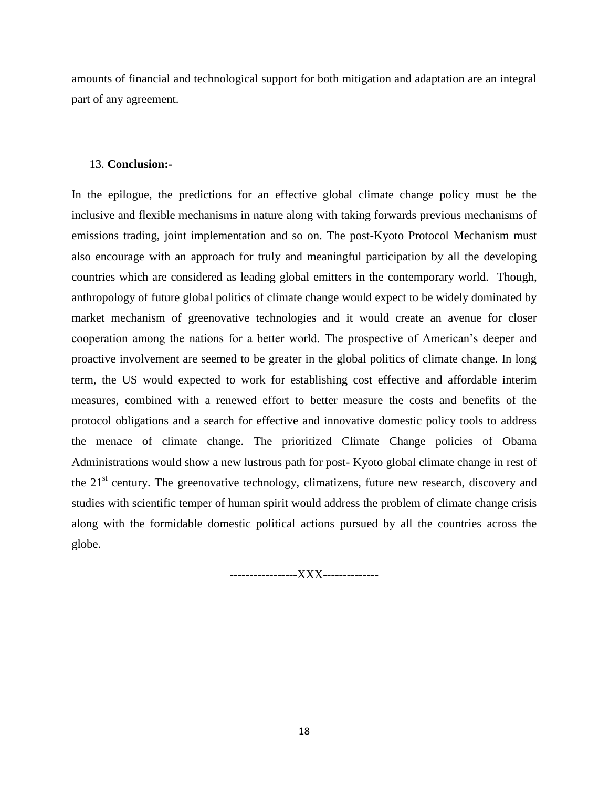amounts of financial and technological support for both mitigation and adaptation are an integral part of any agreement.

## 13. **Conclusion:-**

In the epilogue, the predictions for an effective global climate change policy must be the inclusive and flexible mechanisms in nature along with taking forwards previous mechanisms of emissions trading, joint implementation and so on. The post-Kyoto Protocol Mechanism must also encourage with an approach for truly and meaningful participation by all the developing countries which are considered as leading global emitters in the contemporary world. Though, anthropology of future global politics of climate change would expect to be widely dominated by market mechanism of greenovative technologies and it would create an avenue for closer cooperation among the nations for a better world. The prospective of American"s deeper and proactive involvement are seemed to be greater in the global politics of climate change. In long term, the US would expected to work for establishing cost effective and affordable interim measures, combined with a renewed effort to better measure the costs and benefits of the protocol obligations and a search for effective and innovative domestic policy tools to address the menace of climate change. The prioritized Climate Change policies of Obama Administrations would show a new lustrous path for post- Kyoto global climate change in rest of the  $21<sup>st</sup>$  century. The greenovative technology, climatizens, future new research, discovery and studies with scientific temper of human spirit would address the problem of climate change crisis along with the formidable domestic political actions pursued by all the countries across the globe.

-----------------XXX--------------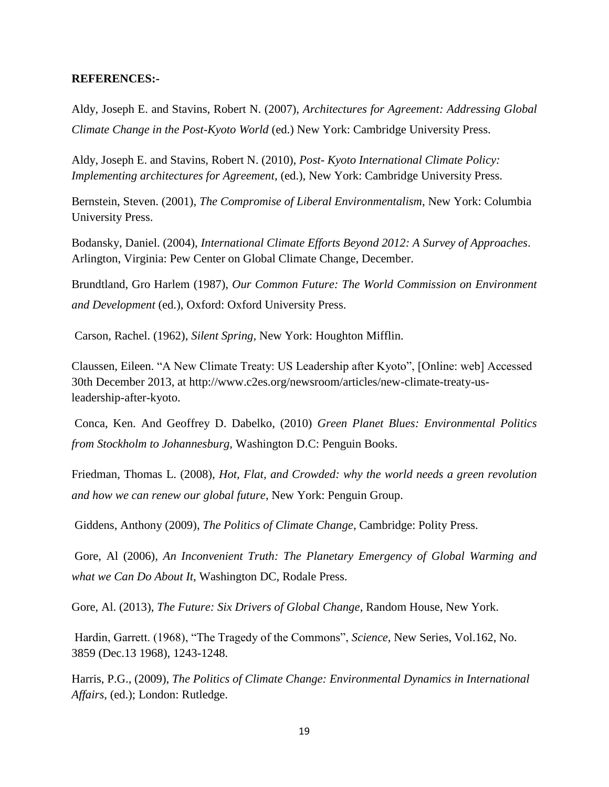#### **REFERENCES:-**

Aldy, Joseph E. and Stavins, Robert N. (2007), *Architectures for Agreement: Addressing Global Climate Change in the Post-Kyoto World* (ed.) New York: Cambridge University Press.

Aldy, Joseph E. and Stavins, Robert N. (2010), *Post- Kyoto International Climate Policy: Implementing architectures for Agreement*, (ed.), New York: Cambridge University Press.

Bernstein, Steven. (2001), *The Compromise of Liberal Environmentalism*, New York: Columbia University Press.

Bodansky, Daniel. (2004), *International Climate Efforts Beyond 2012: A Survey of Approaches*. Arlington, Virginia: Pew Center on Global Climate Change, December.

Brundtland, Gro Harlem (1987), *Our Common Future: The World Commission on Environment and Development* (ed.), Oxford: Oxford University Press.

Carson, Rachel. (1962), *Silent Spring,* New York: Houghton Mifflin.

Claussen, Eileen. "A New Climate Treaty: US Leadership after Kyoto", [Online: web] Accessed 30th December 2013, at http://www.c2es.org/newsroom/articles/new-climate-treaty-usleadership-after-kyoto.

Conca, Ken. And Geoffrey D. Dabelko, (2010) *Green Planet Blues: Environmental Politics from Stockholm to Johannesburg,* Washington D.C: Penguin Books.

Friedman, Thomas L. (2008), *Hot, Flat, and Crowded: why the world needs a green revolution and how we can renew our global future*, New York: Penguin Group.

Giddens, Anthony (2009), *The Politics of Climate Change*, Cambridge: Polity Press.

Gore, Al (2006), *An Inconvenient Truth: The Planetary Emergency of Global Warming and what we Can Do About It,* Washington DC, Rodale Press.

Gore, Al. (2013), *The Future: Six Drivers of Global Change*, Random House, New York.

Hardin, Garrett. (1968), "The Tragedy of the Commons", *Science,* New Series, Vol.162, No. 3859 (Dec.13 1968), 1243-1248.

Harris, P.G., (2009), *The Politics of Climate Change: Environmental Dynamics in International Affairs*, (ed.); London: Rutledge.